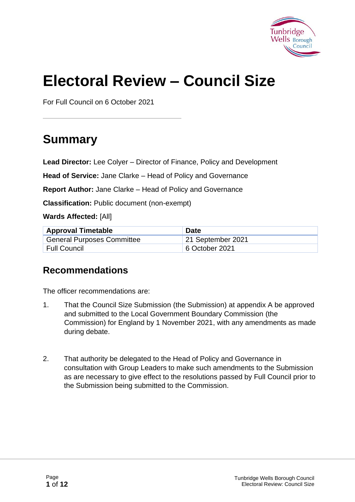

# **Electoral Review – Council Size**

For Full Council on 6 October 2021

## **Summary**

**Lead Director:** Lee Colyer – Director of Finance, Policy and Development

**Head of Service:** Jane Clarke – Head of Policy and Governance

**Report Author:** Jane Clarke – Head of Policy and Governance

**Classification:** Public document (non-exempt)

**Wards Affected:** [All]

| <b>Approval Timetable</b>         | <b>Date</b>       |
|-----------------------------------|-------------------|
| <b>General Purposes Committee</b> | 21 September 2021 |
| ' Full Council                    | 6 October 2021    |

#### **Recommendations**

The officer recommendations are:

- 1. That the Council Size Submission (the Submission) at appendix A be approved and submitted to the Local Government Boundary Commission (the Commission) for England by 1 November 2021, with any amendments as made during debate.
- 2. That authority be delegated to the Head of Policy and Governance in consultation with Group Leaders to make such amendments to the Submission as are necessary to give effect to the resolutions passed by Full Council prior to the Submission being submitted to the Commission.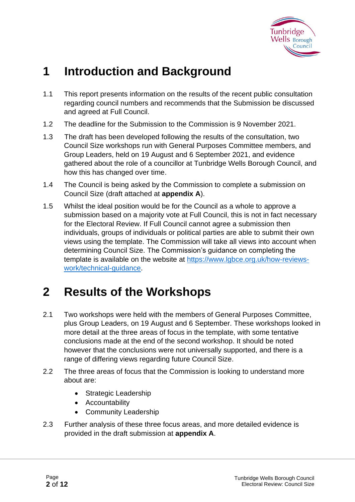

## **1 Introduction and Background**

- 1.1 This report presents information on the results of the recent public consultation regarding council numbers and recommends that the Submission be discussed and agreed at Full Council.
- 1.2 The deadline for the Submission to the Commission is 9 November 2021.
- 1.3 The draft has been developed following the results of the consultation, two Council Size workshops run with General Purposes Committee members, and Group Leaders, held on 19 August and 6 September 2021, and evidence gathered about the role of a councillor at Tunbridge Wells Borough Council, and how this has changed over time.
- 1.4 The Council is being asked by the Commission to complete a submission on Council Size (draft attached at **appendix A**).
- 1.5 Whilst the ideal position would be for the Council as a whole to approve a submission based on a majority vote at Full Council, this is not in fact necessary for the Electoral Review. If Full Council cannot agree a submission then individuals, groups of individuals or political parties are able to submit their own views using the template. The Commission will take all views into account when determining Council Size. The Commission's guidance on completing the template is available on the website at [https://www.lgbce.org.uk/how-reviews](https://www.lgbce.org.uk/how-reviews-work/technical-guidance)[work/technical-guidance.](https://www.lgbce.org.uk/how-reviews-work/technical-guidance)

## **2 Results of the Workshops**

- 2.1 Two workshops were held with the members of General Purposes Committee, plus Group Leaders, on 19 August and 6 September. These workshops looked in more detail at the three areas of focus in the template, with some tentative conclusions made at the end of the second workshop. It should be noted however that the conclusions were not universally supported, and there is a range of differing views regarding future Council Size.
- 2.2 The three areas of focus that the Commission is looking to understand more about are:
	- Strategic Leadership
	- Accountability
	- Community Leadership
- 2.3 Further analysis of these three focus areas, and more detailed evidence is provided in the draft submission at **appendix A**.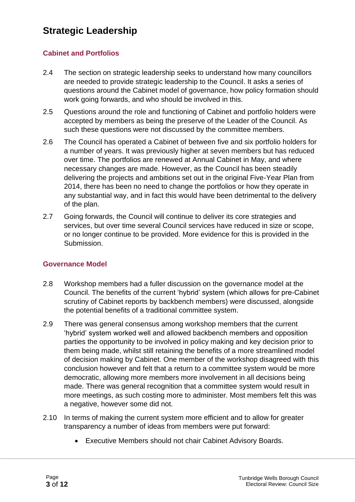#### **Strategic Leadership**

#### **Cabinet and Portfolios**

- 2.4 The section on strategic leadership seeks to understand how many councillors are needed to provide strategic leadership to the Council. It asks a series of questions around the Cabinet model of governance, how policy formation should work going forwards, and who should be involved in this.
- 2.5 Questions around the role and functioning of Cabinet and portfolio holders were accepted by members as being the preserve of the Leader of the Council. As such these questions were not discussed by the committee members.
- 2.6 The Council has operated a Cabinet of between five and six portfolio holders for a number of years. It was previously higher at seven members but has reduced over time. The portfolios are renewed at Annual Cabinet in May, and where necessary changes are made. However, as the Council has been steadily delivering the projects and ambitions set out in the original Five-Year Plan from 2014, there has been no need to change the portfolios or how they operate in any substantial way, and in fact this would have been detrimental to the delivery of the plan.
- 2.7 Going forwards, the Council will continue to deliver its core strategies and services, but over time several Council services have reduced in size or scope, or no longer continue to be provided. More evidence for this is provided in the Submission.

#### **Governance Model**

- 2.8 Workshop members had a fuller discussion on the governance model at the Council. The benefits of the current 'hybrid' system (which allows for pre-Cabinet scrutiny of Cabinet reports by backbench members) were discussed, alongside the potential benefits of a traditional committee system.
- 2.9 There was general consensus among workshop members that the current 'hybrid' system worked well and allowed backbench members and opposition parties the opportunity to be involved in policy making and key decision prior to them being made, whilst still retaining the benefits of a more streamlined model of decision making by Cabinet. One member of the workshop disagreed with this conclusion however and felt that a return to a committee system would be more democratic, allowing more members more involvement in all decisions being made. There was general recognition that a committee system would result in more meetings, as such costing more to administer. Most members felt this was a negative, however some did not.
- 2.10 In terms of making the current system more efficient and to allow for greater transparency a number of ideas from members were put forward:
	- Executive Members should not chair Cabinet Advisory Boards.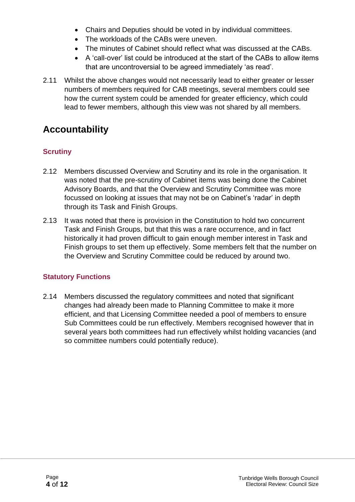- Chairs and Deputies should be voted in by individual committees.
- The workloads of the CABs were uneven.
- The minutes of Cabinet should reflect what was discussed at the CABs.
- A 'call-over' list could be introduced at the start of the CABs to allow items that are uncontroversial to be agreed immediately 'as read'.
- 2.11 Whilst the above changes would not necessarily lead to either greater or lesser numbers of members required for CAB meetings, several members could see how the current system could be amended for greater efficiency, which could lead to fewer members, although this view was not shared by all members.

## **Accountability**

#### **Scrutiny**

- 2.12 Members discussed Overview and Scrutiny and its role in the organisation. It was noted that the pre-scrutiny of Cabinet items was being done the Cabinet Advisory Boards, and that the Overview and Scrutiny Committee was more focussed on looking at issues that may not be on Cabinet's 'radar' in depth through its Task and Finish Groups.
- 2.13 It was noted that there is provision in the Constitution to hold two concurrent Task and Finish Groups, but that this was a rare occurrence, and in fact historically it had proven difficult to gain enough member interest in Task and Finish groups to set them up effectively. Some members felt that the number on the Overview and Scrutiny Committee could be reduced by around two.

#### **Statutory Functions**

2.14 Members discussed the regulatory committees and noted that significant changes had already been made to Planning Committee to make it more efficient, and that Licensing Committee needed a pool of members to ensure Sub Committees could be run effectively. Members recognised however that in several years both committees had run effectively whilst holding vacancies (and so committee numbers could potentially reduce).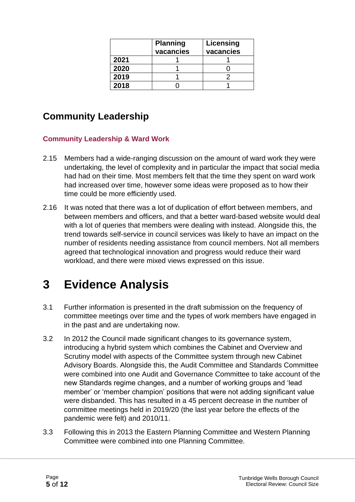|      | <b>Planning</b><br>vacancies | Licensing<br>vacancies |
|------|------------------------------|------------------------|
| 2021 |                              |                        |
| 2020 |                              |                        |
| 2019 |                              |                        |
| 2018 |                              |                        |

### **Community Leadership**

#### **Community Leadership & Ward Work**

- 2.15 Members had a wide-ranging discussion on the amount of ward work they were undertaking, the level of complexity and in particular the impact that social media had had on their time. Most members felt that the time they spent on ward work had increased over time, however some ideas were proposed as to how their time could be more efficiently used.
- 2.16 It was noted that there was a lot of duplication of effort between members, and between members and officers, and that a better ward-based website would deal with a lot of queries that members were dealing with instead. Alongside this, the trend towards self-service in council services was likely to have an impact on the number of residents needing assistance from council members. Not all members agreed that technological innovation and progress would reduce their ward workload, and there were mixed views expressed on this issue.

## **3 Evidence Analysis**

- 3.1 Further information is presented in the draft submission on the frequency of committee meetings over time and the types of work members have engaged in in the past and are undertaking now.
- 3.2 In 2012 the Council made significant changes to its governance system, introducing a hybrid system which combines the Cabinet and Overview and Scrutiny model with aspects of the Committee system through new Cabinet Advisory Boards. Alongside this, the Audit Committee and Standards Committee were combined into one Audit and Governance Committee to take account of the new Standards regime changes, and a number of working groups and 'lead member' or 'member champion' positions that were not adding significant value were disbanded. This has resulted in a 45 percent decrease in the number of committee meetings held in 2019/20 (the last year before the effects of the pandemic were felt) and 2010/11.
- 3.3 Following this in 2013 the Eastern Planning Committee and Western Planning Committee were combined into one Planning Committee.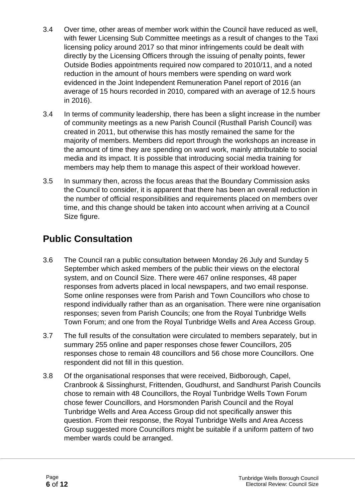- 3.4 Over time, other areas of member work within the Council have reduced as well, with fewer Licensing Sub Committee meetings as a result of changes to the Taxi licensing policy around 2017 so that minor infringements could be dealt with directly by the Licensing Officers through the issuing of penalty points, fewer Outside Bodies appointments required now compared to 2010/11, and a noted reduction in the amount of hours members were spending on ward work evidenced in the Joint Independent Remuneration Panel report of 2016 (an average of 15 hours recorded in 2010, compared with an average of 12.5 hours in 2016).
- 3.4 In terms of community leadership, there has been a slight increase in the number of community meetings as a new Parish Council (Rusthall Parish Council) was created in 2011, but otherwise this has mostly remained the same for the majority of members. Members did report through the workshops an increase in the amount of time they are spending on ward work, mainly attributable to social media and its impact. It is possible that introducing social media training for members may help them to manage this aspect of their workload however.
- 3.5 In summary then, across the focus areas that the Boundary Commission asks the Council to consider, it is apparent that there has been an overall reduction in the number of official responsibilities and requirements placed on members over time, and this change should be taken into account when arriving at a Council Size figure.

## **Public Consultation**

- 3.6 The Council ran a public consultation between Monday 26 July and Sunday 5 September which asked members of the public their views on the electoral system, and on Council Size. There were 467 online responses, 48 paper responses from adverts placed in local newspapers, and two email response. Some online responses were from Parish and Town Councillors who chose to respond individually rather than as an organisation. There were nine organisation responses; seven from Parish Councils; one from the Royal Tunbridge Wells Town Forum; and one from the Royal Tunbridge Wells and Area Access Group.
- 3.7 The full results of the consultation were circulated to members separately, but in summary 255 online and paper responses chose fewer Councillors, 205 responses chose to remain 48 councillors and 56 chose more Councillors. One respondent did not fill in this question.
- 3.8 Of the organisational responses that were received, Bidborough, Capel, Cranbrook & Sissinghurst, Frittenden, Goudhurst, and Sandhurst Parish Councils chose to remain with 48 Councillors, the Royal Tunbridge Wells Town Forum chose fewer Councillors, and Horsmonden Parish Council and the Royal Tunbridge Wells and Area Access Group did not specifically answer this question. From their response, the Royal Tunbridge Wells and Area Access Group suggested more Councillors might be suitable if a uniform pattern of two member wards could be arranged.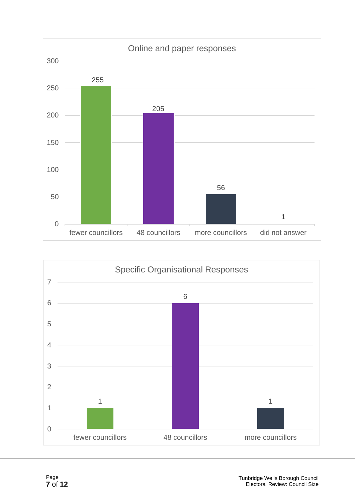

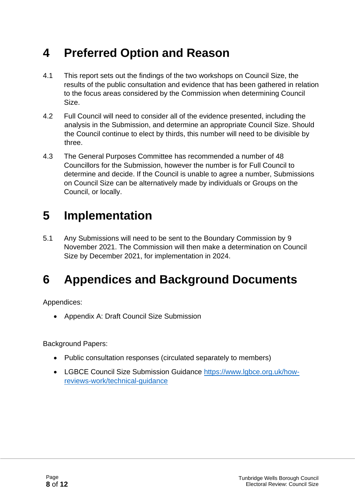## **4 Preferred Option and Reason**

- 4.1 This report sets out the findings of the two workshops on Council Size, the results of the public consultation and evidence that has been gathered in relation to the focus areas considered by the Commission when determining Council Size.
- 4.2 Full Council will need to consider all of the evidence presented, including the analysis in the Submission, and determine an appropriate Council Size. Should the Council continue to elect by thirds, this number will need to be divisible by three.
- 4.3 The General Purposes Committee has recommended a number of 48 Councillors for the Submission, however the number is for Full Council to determine and decide. If the Council is unable to agree a number, Submissions on Council Size can be alternatively made by individuals or Groups on the Council, or locally.

## **5 Implementation**

5.1 Any Submissions will need to be sent to the Boundary Commission by 9 November 2021. The Commission will then make a determination on Council Size by December 2021, for implementation in 2024.

## **6 Appendices and Background Documents**

Appendices:

• Appendix A: Draft Council Size Submission

Background Papers:

- Public consultation responses (circulated separately to members)
- LGBCE Council Size Submission Guidance [https://www.lgbce.org.uk/how](https://www.lgbce.org.uk/how-reviews-work/technical-guidance)[reviews-work/technical-guidance](https://www.lgbce.org.uk/how-reviews-work/technical-guidance)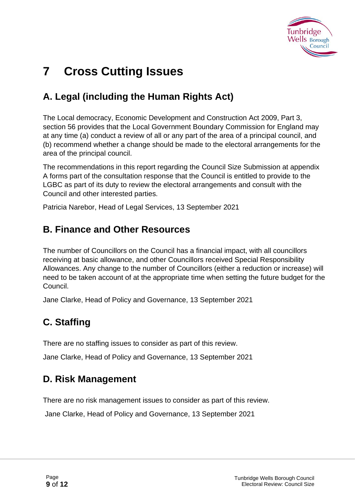

## **7 Cross Cutting Issues**

## **A. Legal (including the Human Rights Act)**

The Local democracy, Economic Development and Construction Act 2009, Part 3, section 56 provides that the Local Government Boundary Commission for England may at any time (a) conduct a review of all or any part of the area of a principal council, and (b) recommend whether a change should be made to the electoral arrangements for the area of the principal council.

The recommendations in this report regarding the Council Size Submission at appendix A forms part of the consultation response that the Council is entitled to provide to the LGBC as part of its duty to review the electoral arrangements and consult with the Council and other interested parties.

Patricia Narebor, Head of Legal Services, 13 September 2021

### **B. Finance and Other Resources**

The number of Councillors on the Council has a financial impact, with all councillors receiving at basic allowance, and other Councillors received Special Responsibility Allowances. Any change to the number of Councillors (either a reduction or increase) will need to be taken account of at the appropriate time when setting the future budget for the Council.

Jane Clarke, Head of Policy and Governance, 13 September 2021

## **C. Staffing**

There are no staffing issues to consider as part of this review.

Jane Clarke, Head of Policy and Governance, 13 September 2021

### **D. Risk Management**

There are no risk management issues to consider as part of this review.

Jane Clarke, Head of Policy and Governance, 13 September 2021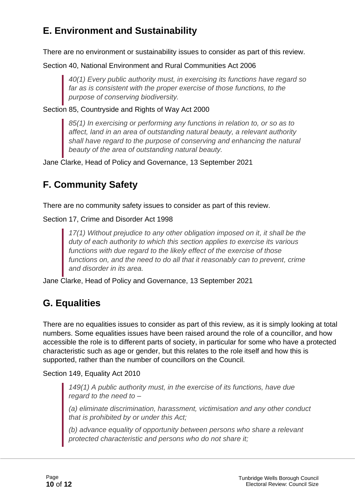## **E. Environment and Sustainability**

There are no environment or sustainability issues to consider as part of this review.

Section 40, National Environment and Rural Communities Act 2006

*40(1) Every public authority must, in exercising its functions have regard so far as is consistent with the proper exercise of those functions, to the purpose of conserving biodiversity.*

Section 85, Countryside and Rights of Way Act 2000

*85(1) In exercising or performing any functions in relation to, or so as to affect, land in an area of outstanding natural beauty, a relevant authority shall have regard to the purpose of conserving and enhancing the natural beauty of the area of outstanding natural beauty.*

Jane Clarke, Head of Policy and Governance, 13 September 2021

## **F. Community Safety**

There are no community safety issues to consider as part of this review.

Section 17, Crime and Disorder Act 1998

*17(1) Without prejudice to any other obligation imposed on it, it shall be the duty of each authority to which this section applies to exercise its various functions with due regard to the likely effect of the exercise of those functions on, and the need to do all that it reasonably can to prevent, crime and disorder in its area.*

Jane Clarke, Head of Policy and Governance, 13 September 2021

## **G. Equalities**

There are no equalities issues to consider as part of this review, as it is simply looking at total numbers. Some equalities issues have been raised around the role of a councillor, and how accessible the role is to different parts of society, in particular for some who have a protected characteristic such as age or gender, but this relates to the role itself and how this is supported, rather than the number of councillors on the Council.

Section 149, Equality Act 2010

*149(1) A public authority must, in the exercise of its functions, have due regard to the need to –*

*(a) eliminate discrimination, harassment, victimisation and any other conduct that is prohibited by or under this Act;*

*(b) advance equality of opportunity between persons who share a relevant protected characteristic and persons who do not share it;*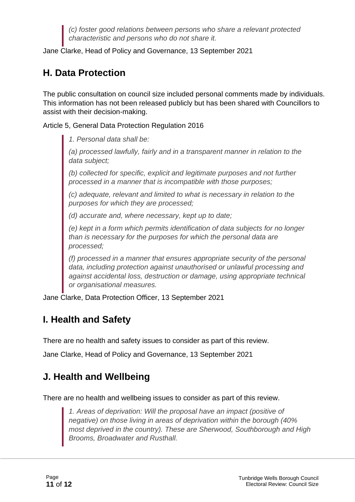*(c) foster good relations between persons who share a relevant protected characteristic and persons who do not share it.*

Jane Clarke, Head of Policy and Governance, 13 September 2021

## **H. Data Protection**

The public consultation on council size included personal comments made by individuals. This information has not been released publicly but has been shared with Councillors to assist with their decision-making.

Article 5, General Data Protection Regulation 2016

*1. Personal data shall be:*

*(a) processed lawfully, fairly and in a transparent manner in relation to the data subject;*

*(b) collected for specific, explicit and legitimate purposes and not further processed in a manner that is incompatible with those purposes;*

*(c) adequate, relevant and limited to what is necessary in relation to the purposes for which they are processed;*

*(d) accurate and, where necessary, kept up to date;*

*(e) kept in a form which permits identification of data subjects for no longer than is necessary for the purposes for which the personal data are processed;*

*(f) processed in a manner that ensures appropriate security of the personal data, including protection against unauthorised or unlawful processing and against accidental loss, destruction or damage, using appropriate technical or organisational measures.*

Jane Clarke, Data Protection Officer, 13 September 2021

## **I. Health and Safety**

There are no health and safety issues to consider as part of this review.

Jane Clarke, Head of Policy and Governance, 13 September 2021

## **J. Health and Wellbeing**

There are no health and wellbeing issues to consider as part of this review.

*1. Areas of deprivation: Will the proposal have an impact (positive of negative) on those living in areas of deprivation within the borough (40% most deprived in the country). These are Sherwood, Southborough and High Brooms, Broadwater and Rusthall.*